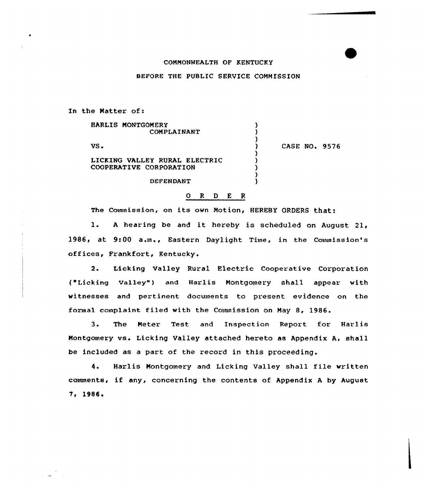### COMMONWEALTH OF KENTUCKY

# BEFORE THE PUBLIC SERVICE COMMISSION

In the Natter of: HARLIS MONTGOMERY  $\lambda$ COMPLAINANT  $\lambda$  $\mathbf{A}$ VS. The case of the case of the case of the case of the case of the case of the case of the case of the case of the case of the case of the case of the case of the case of the case of the case of the case of the case of th LICKING VALLEY RURAL ELECTRIC -1 COOPERATIVE CORPORATION DEFENDANT

#### 0 R <sup>D</sup> E R

The Commission, on its own Motion, HEREBY ORDERS that:

l. <sup>A</sup> hearing be and it hereby is scheduled on August 21, 1986, at 9:00 a.m., Eastern Daylight Time, in the Commission's offices, Frankfort, Kentucky.

2. Licking Valley Rural Electric Cooperative Corporation ("Licking valley" ) and Haxlis Montgomery shall appeax with witnesses and pertinent documents to present evidence on the formal complaint filed with the Commission on Nay 8, 1986.

3. The Meter Test and Inspection Report for Harlis Nontgomery vs. Licking Valley attached hereto as Appendix A, shall be included as a part of the record in this proceeding.

4. Harlis Montgomery and Licking Valley shall file written comments, if any, concerning the contents of Appendix <sup>A</sup> by August 7g 1985 <sup>~</sup>

 $\mathcal{A}$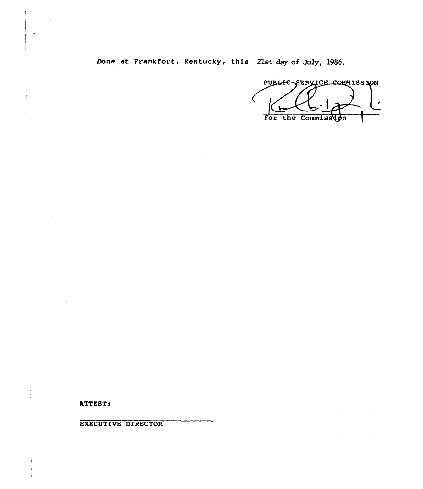Done at Frankfort, Kentucky, this 21st day of July, 1986.

PUBLIC SERVICE COMMISSION For the Commission

 $\alpha$  , and  $\alpha$  , and  $\alpha$  , and

ATTEST:

**EXECUTIVE DIRECTOR**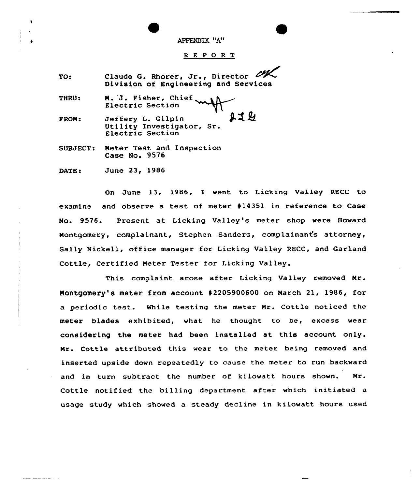## APPENDIX "A"

#### <sup>R</sup> <sup>E</sup> P 0 <sup>R</sup> T

TO! Claude G. Rhorer, Jr., Director CH Division of Engineering and Services

THRU: N. J. Fisher, Chief Electric Section

FROM Jeffery L. Gilpin  $\Box$ Utility Investigator, Sr. Electric Section

SUBJECT: Neter Test and Inspection Case No. 9576

DATE: June 23, 1986

 $\bullet$ 

On June 13, 1986, I went to Licking Valley RECC to examine and observe a test of meter 414351 in reference to Case No. 9576. Present at Licking Valley's meter shop vere Howard Montgomery, complainant, Stephen Sanders, complainants attorney, Sally Nickell, office manager for Licking Valley RECC, and Garland Cottle, Certified Meter Tester for Licking Valley.

This complaint arose after Licking Valley removed Nr. Nontgomery's meter from account 42205900600 on March 21, 1986, for <sup>a</sup> periodic test. While testing the meter Mr. Cottle noticed the meter blades exhibited, vhat he thought to be, excess wear considering the meter had been installed at this account only. Mr. Cottle attributed this wear to the meter being removed and inserted upside down repeatedly to cause the meter to run backward and in turn subtract the number of kilowatt hours shown. Mr. Cottle notified the billing department after which initiated a usage study which showed a steady decline in kilowatt hours used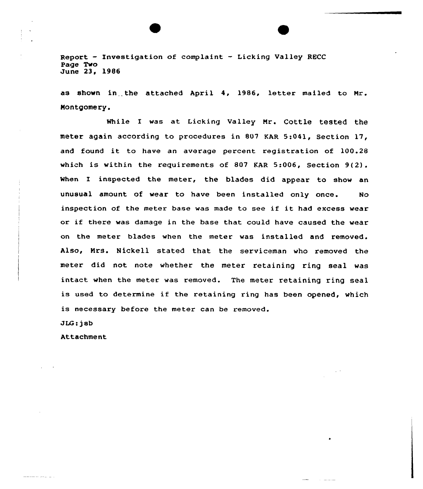Report — Investigation of complaint — Licking Valley RECC Page Two June 23, 1986

as shown in the attached April 4, 1986, letter mailed to Mr. Nontgomery.

While I was at Licking Valley Mr. Cottle tested the meter again according to procedures in 807 KAR 5:041, Section 17, and found it to have an average percent registration of 100.28 which is within the requirements of <sup>807</sup> KAR 5:006, Section 9(2}. When I inspected the meter, the blades did appear to show an unusual amount of wear to have been installed only once. No inspection of the meter base was made to see if it had excess wear or if there was damage in the base that could have caused the wear on the meter blades when the meter was installed and removed. Also, Mrs. Nickell stated that the serviceman who removed the meter did not note whether the meter retaining ring seal was intact when the meter was removed. The meter retaining ring seal is used to determine if the retaining ring has been opened, which is necessary before the meter can be removed.

 $JLG$ : jsb

Attachment,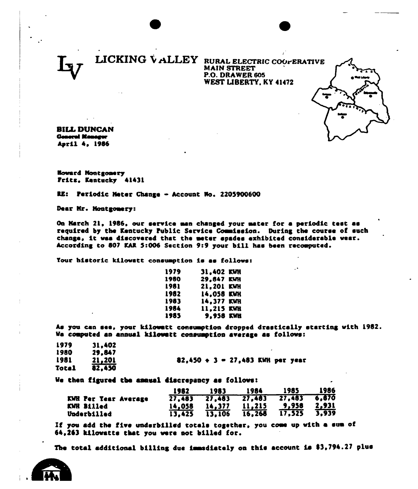LICKING VALLEY RURAL ELECTRIC COOPERATIVE **MAIN STREET** P.O. DRAWER 605 **WEST LIBERTY. KY 41472** 

**BILL DUNCAN General Manager** April 4, 1986

**Howard Hontgomery** Fritz, Kentucky 41431

RE: Periodic Meter Change - Account No. 2205900600

Dear Mr. Montgomery:

On March 21, 1986, our service man changed your mater for a periodic test as required by the Kentucky Public Service Commission. During the course of such change, it was discovered that the meter spades exhibited considerable wear. According to 807 KAR 5:006 Section 9:9 your bill has been recomputed.

Your historic kilowatt consumption is as follows:

| 1979 | 31.402 KWH |
|------|------------|
| 1950 | 29.847 KWN |
| 1981 | 21.201 KWH |
| 1952 | 14.058 KWK |
| 1983 | 14.377 KWH |
| 1984 | 11.215 KWR |
| 1985 | 9.958 KWH  |

As you can see, your kilowatt consumption dropped drastically starting with 1982. We computed an annual kilowatt consumption average as follows:

| 1979  | 31.402        |
|-------|---------------|
| 1980  | 29.547        |
| 1981  | <u>21,201</u> |
| Total | 82.450        |

 $82,450 + 3 = 27,483$  KWH per year

We then figured the annual discrepancy as follows:

|                      | 1982   | 1983   | 1984   | 1985         | 1986                  |
|----------------------|--------|--------|--------|--------------|-----------------------|
| KWH Per Tear Average | 27.483 | 27,483 | 27.483 | 27.483       | 6.670                 |
| KWR Billed           | 14.058 | 14,377 | 11.215 | <u>9,958</u> | $\frac{2,931}{3,939}$ |
| Underbilled          | 13.425 | 13,106 | 16,268 | 17.525       |                       |

If you add the five underbilled totals together, you come up with a sum of 64,263 kilowatts that you were not billed for.

The total additional billing due immediately on this account is \$3,794.27 plus